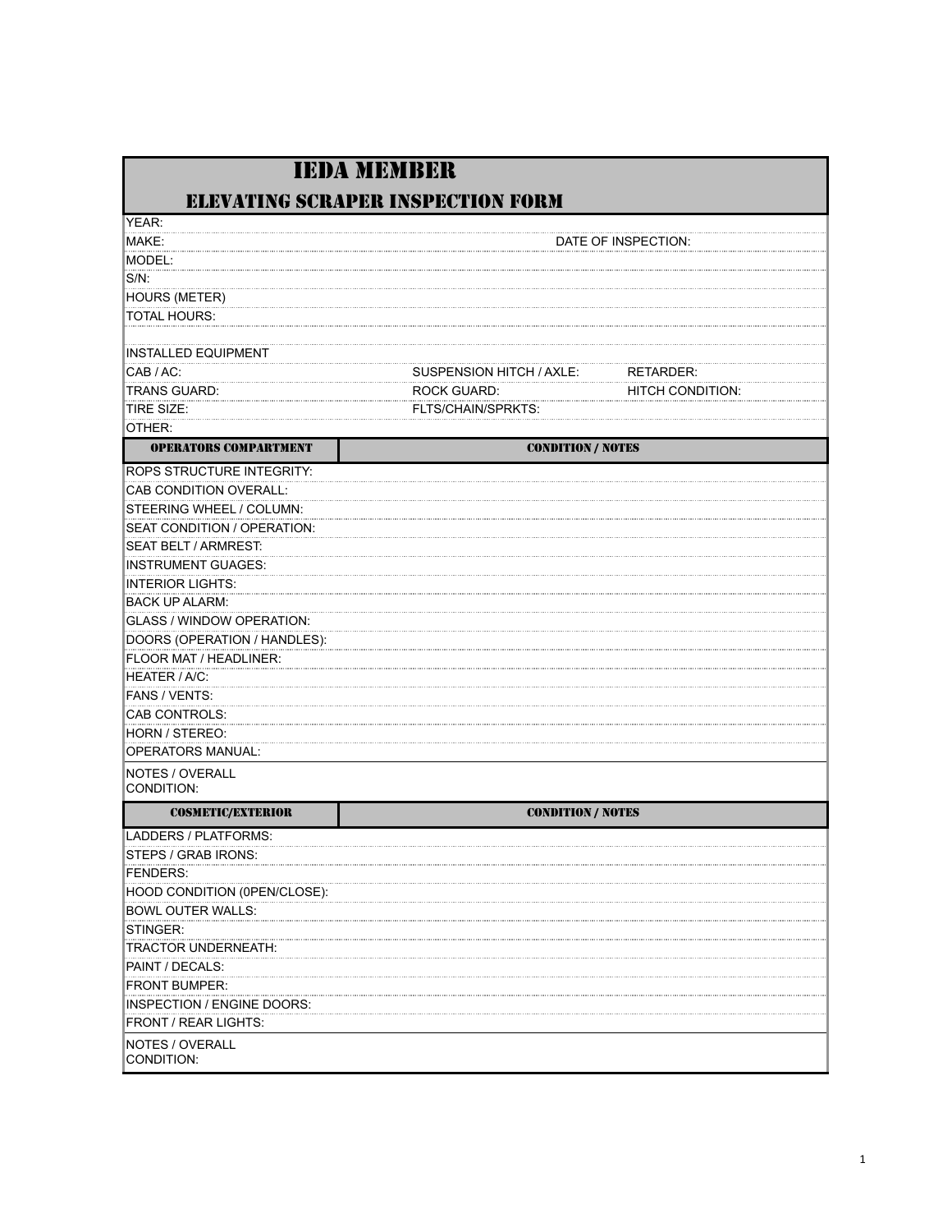|                                      | <b>IEDA MEMBER</b>                       |                         |
|--------------------------------------|------------------------------------------|-------------------------|
|                                      | <b>ELEVATING SCRAPER INSPECTION FORM</b> |                         |
| YEAR:                                |                                          |                         |
| MAKE:                                |                                          | DATE OF INSPECTION:     |
| MODEL:                               |                                          |                         |
| $S/N$ :                              |                                          |                         |
| <b>HOURS (METER)</b>                 |                                          |                         |
| <b>TOTAL HOURS:</b>                  |                                          |                         |
| <b>INSTALLED EQUIPMENT</b>           |                                          |                         |
| CAB / AC:                            | SUSPENSION HITCH / AXLE:                 | RETARDER:               |
| TRANS GUARD:                         | <b>ROCK GUARD:</b>                       | <b>HITCH CONDITION:</b> |
| TIRE SIZE:                           | FLTS/CHAIN/SPRKTS:                       |                         |
| OTHER:                               |                                          |                         |
| <b>OPERATORS COMPARTMENT</b>         | <b>CONDITION / NOTES</b>                 |                         |
| <b>ROPS STRUCTURE INTEGRITY:</b>     |                                          |                         |
| CAB CONDITION OVERALL:               |                                          |                         |
| STEERING WHEEL / COLUMN:             |                                          |                         |
| SEAT CONDITION / OPERATION:          |                                          |                         |
| SEAT BELT / ARMREST:                 |                                          |                         |
| <b>INSTRUMENT GUAGES:</b>            |                                          |                         |
| <b>INTERIOR LIGHTS:</b>              |                                          |                         |
| <b>BACK UP ALARM:</b>                |                                          |                         |
| GLASS / WINDOW OPERATION:            |                                          |                         |
| DOORS (OPERATION / HANDLES):         |                                          |                         |
| FLOOR MAT / HEADLINER:               |                                          |                         |
| HEATER / A/C:                        |                                          |                         |
| FANS / VENTS:                        |                                          |                         |
| CAB CONTROLS:                        |                                          |                         |
| HORN / STEREO:                       |                                          |                         |
| OPERATORS MANUAL:                    |                                          |                         |
| <b>NOTES / OVERALL</b><br>CONDITION: |                                          |                         |
| <b>COSMETIC/EXTERIOR</b>             | <b>CONDITION / NOTES</b>                 |                         |
| LADDERS / PLATFORMS:                 |                                          |                         |
| STEPS / GRAB IRONS:                  |                                          |                         |
| FENDERS:                             |                                          |                         |
| HOOD CONDITION (0PEN/CLOSE):         |                                          |                         |
| <b>BOWL OUTER WALLS:</b>             |                                          |                         |
| STINGER:                             |                                          |                         |
| TRACTOR UNDERNEATH:                  |                                          |                         |
| PAINT / DECALS:                      |                                          |                         |
| <b>FRONT BUMPER:</b>                 |                                          |                         |
| INSPECTION / ENGINE DOORS:           |                                          |                         |
| <b>FRONT / REAR LIGHTS:</b>          |                                          |                         |
| NOTES / OVERALL<br>CONDITION:        |                                          |                         |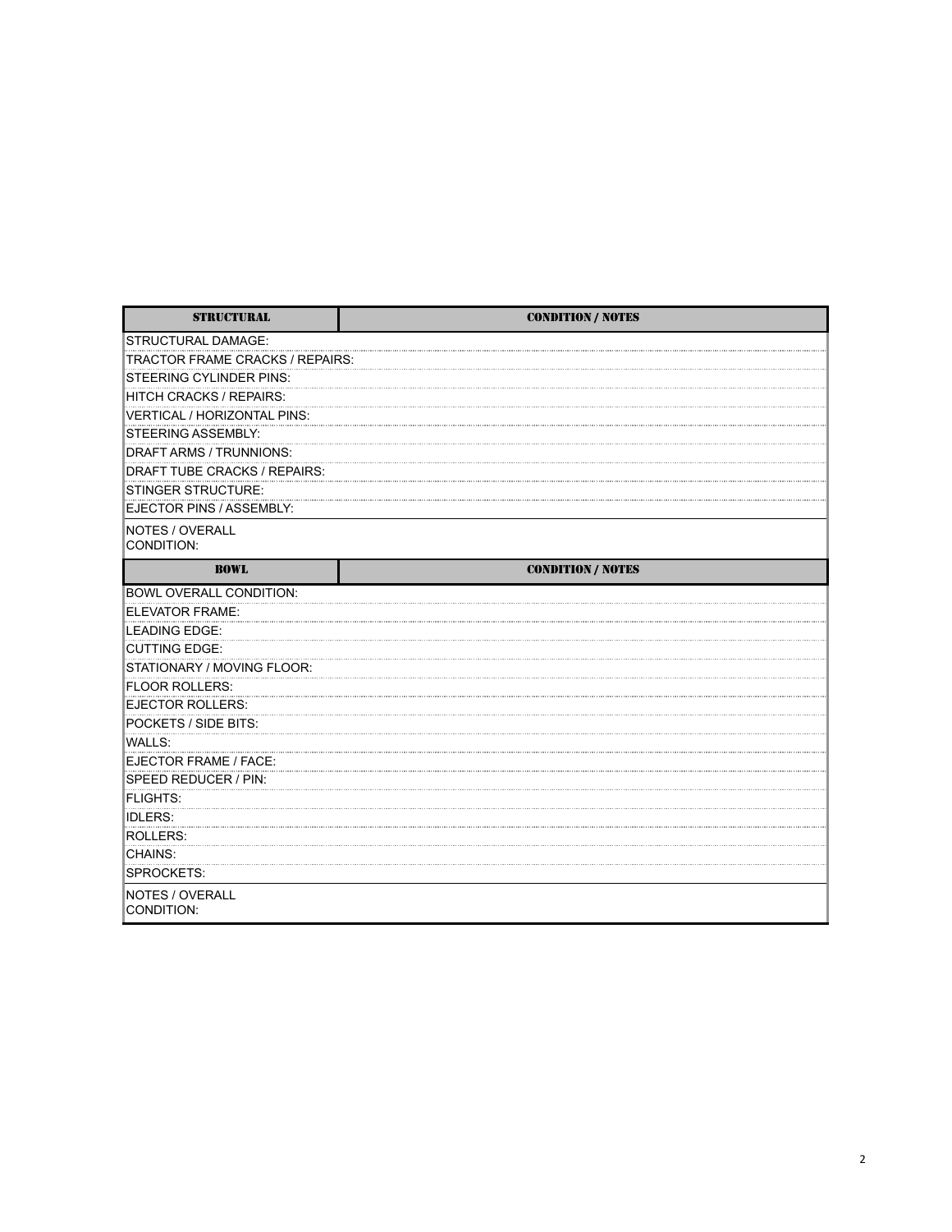| <b>STRUCTURAL</b>               | <b>CONDITION / NOTES</b> |
|---------------------------------|--------------------------|
| <b>STRUCTURAL DAMAGE:</b>       |                          |
| TRACTOR FRAME CRACKS / REPAIRS: |                          |
| STEERING CYLINDER PINS:         |                          |
| <b>HITCH CRACKS / REPAIRS:</b>  |                          |
| VERTICAL / HORIZONTAL PINS:     |                          |
| <b>STEERING ASSEMBLY:</b>       |                          |
| DRAFT ARMS / TRUNNIONS:         |                          |
| DRAFT TUBE CRACKS / REPAIRS:    |                          |
| <b>STINGER STRUCTURE:</b>       |                          |
| EJECTOR PINS / ASSEMBLY:        |                          |
| NOTES / OVERALL<br>CONDITION:   |                          |
| <b>BOWL</b>                     | <b>CONDITION / NOTES</b> |
| BOWL OVERALL CONDITION:         |                          |
| ELEVATOR FRAME:                 |                          |
| <b>LEADING EDGE:</b>            |                          |
| <b>CUTTING EDGE:</b>            |                          |
| STATIONARY / MOVING FLOOR:      |                          |
| <b>FLOOR ROLLERS:</b>           |                          |
| <b>EJECTOR ROLLERS:</b>         |                          |
| POCKETS / SIDE BITS:            |                          |
| <b>WALLS:</b>                   |                          |
| EJECTOR FRAME / FACE:           |                          |
| SPEED REDUCER / PIN:            |                          |
| <b>FLIGHTS:</b>                 |                          |
| <b>IDLERS:</b>                  |                          |
| <b>ROLLERS:</b>                 |                          |
| CHAINS:                         |                          |
| SPROCKETS:                      |                          |
| NOTES / OVERALL<br>CONDITION:   |                          |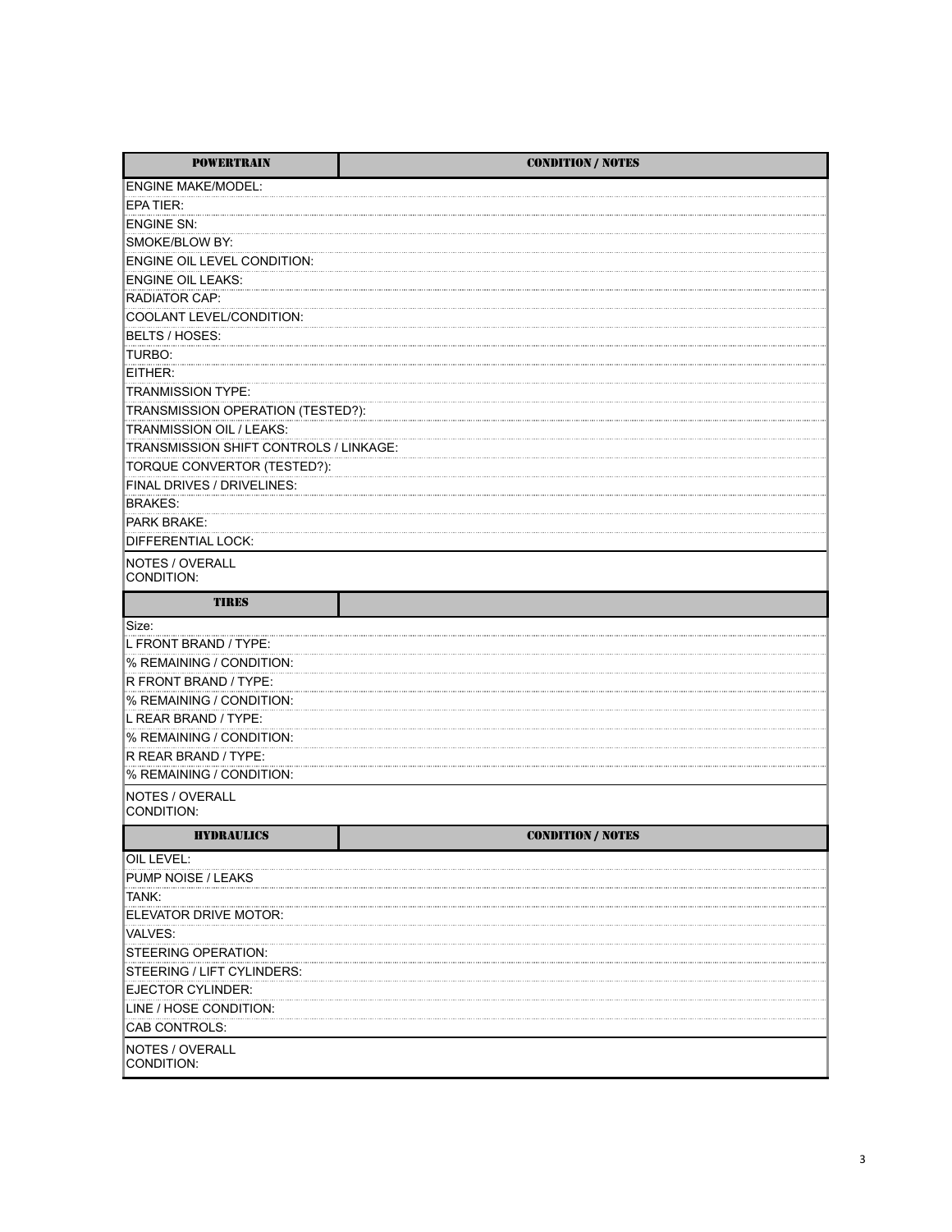| <b>POWERTRAIN</b>                      | <b>CONDITION / NOTES</b> |
|----------------------------------------|--------------------------|
| <b>ENGINE MAKE/MODEL:</b>              |                          |
| EPA TIER:                              |                          |
| <b>ENGINE SN:</b>                      |                          |
| SMOKE/BLOW BY:                         |                          |
| <b>ENGINE OIL LEVEL CONDITION:</b>     |                          |
| <b>ENGINE OIL LEAKS:</b>               |                          |
| <b>RADIATOR CAP:</b>                   |                          |
| COOLANT LEVEL/CONDITION:               |                          |
| BELTS / HOSES:                         |                          |
| TURBO:                                 |                          |
| EITHER:                                |                          |
| <b>TRANMISSION TYPE:</b>               |                          |
| TRANSMISSION OPERATION (TESTED?):      |                          |
| TRANMISSION OIL / LEAKS:               |                          |
| TRANSMISSION SHIFT CONTROLS / LINKAGE: |                          |
| TORQUE CONVERTOR (TESTED?):            |                          |
| FINAL DRIVES / DRIVELINES:             |                          |
| <b>BRAKES:</b>                         |                          |
| <b>PARK BRAKE:</b>                     |                          |
| <b>DIFFERENTIAL LOCK:</b>              |                          |
| NOTES / OVERALL                        |                          |
| CONDITION:                             |                          |
| <b>TIRES</b>                           |                          |
| Size:                                  |                          |
| L FRONT BRAND / TYPE:                  |                          |
| % REMAINING / CONDITION:               |                          |
| R FRONT BRAND / TYPE:                  |                          |
| % REMAINING / CONDITION:               |                          |
| L REAR BRAND / TYPE:                   |                          |
| % REMAINING / CONDITION:               |                          |
| R REAR BRAND / TYPE:                   |                          |
| % REMAINING / CONDITION:               |                          |
| NOTES / OVERALL                        |                          |
| CONDITION:                             |                          |
| <b>HYDRAULICS</b>                      | <b>CONDITION / NOTES</b> |
| OIL LEVEL:                             |                          |
| <b>PUMP NOISE / LEAKS</b>              |                          |
| tank:                                  |                          |
| ELEVATOR DRIVE MOTOR:                  |                          |
| <b>VALVES:</b>                         |                          |
| STEERING OPERATION:                    |                          |
| STEERING / LIFT CYLINDERS:             |                          |
| EJECTOR CYLINDER:                      |                          |
| LINE / HOSE CONDITION:                 |                          |
| CAB CONTROLS:                          |                          |
| NOTES / OVERALL                        |                          |
| CONDITION:                             |                          |